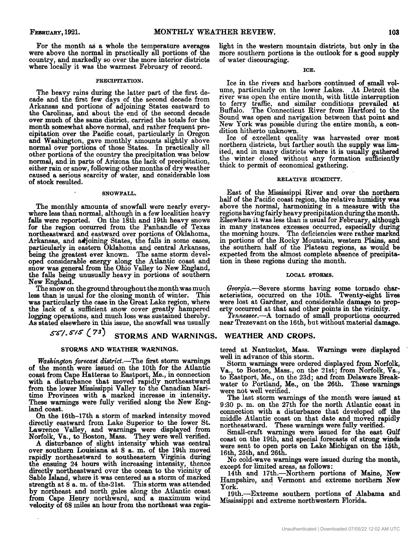For the month as a whole the temperature averages country, and markedly so over the more interior districts were above the normal in practically all portions of the where locally it was the warmest February of record.

#### PRECIPITATION.

The heavy rains during the latter part of the fist decade and the first few days of the second decade from Arkansas and portions of adjoining States eastward to the Carolinas, and about the end of the second decade over much of the same district, carried the totals for the cipitation over the Pacific coast, particularly in Oregon and Washington, gave monthly amounts slightly above normal over portions of those States. In practically all<br>other portions of the country the precipitation was below normal, and in parts of Arizona the lack of precipitation, either rain or snow, following other months of dry weather caused a serious scarcity of water, and considerable loss of stock resulted.

#### SNOWFALL.

The monthly amounts of snowfall were nearly every- where less than normal, although in a few localities heavy falls were reported. On the 18th and 19th heavy snows for the region occurred from the Panhandle of Texas northeastward and eastward over portions of Oklahoma, Arkansas, and adjoining States, the falls in some cases, being the greatest ever known. The same storm developed considerable energy along the Atlantic coast and snow was general from the Ohio Valley to New England, the **falls** being unusually heavy in portions of southern particularly in eastern Oklahoma and central Arkansas,

New England.<br>The snow on the ground throughout the month was much was particularly the case in the Great Lake region, where logging operations, and much loss was sustained thereby. The snow on the ground throughout the month was much<br>less than is usual for the closing month of winter. This the lack of a sufficient snow cover greatly hampered As stated elsewhere in this issue, the snowfall was usually

# *SC/. I:* **73) STORMS AND WARNINGS.**

## **STORMS AND WEATHER WARNINGS.**

*Washington forecast district*.-The first storm warnings of the month were issued on the 10th for the Atlantic coast from Cape Hatteras to Eastport, Me., in connection with a disturbance that moved rapidly northeastward from the lower Mississippi Valley to the Canadian Maritime Provinces with a marked increase in intensity. These warnings were fully verified along the New England coast.

*On* the 16th-17th a storm of marked intensity moved directly eastward from Lake Superior to the lower St. Lawrence Valley, and warnings were displayed from Norfolk, Va., to Boston, Mass. They were well verified.

A disturbance of slight intensity which was central over southern Louisiana at 8 a. m. of the 19th moved rapidly northeastward to southeastern Virginia during the ensuing **24** hours with increasing intensity, thence directly northeastward over the ocean to the vicinity of strength at 8 a. m. of the-2lst. This storm was attended by northeast and north gales along the Atlantic coast from Cape Henry northward, and a maximum wind velocity of 68 miles **an** hour from the northeast was regis-Sable Island, where it was centered as a storm of marked

light in the western mountain districts, but only in the more southern portions is the outlook for a good supply of water discouraging.

**ICE.** 

Ice in the rivers and harbors continued of small volume, particularly on the lower Lakes. At Detroit the to ferry traffic, and similar conditions prevailed at Bufldo. The Connecticut River from Hartford to the Sound was open and navigation between that point and New York was possible during the entire month, a condition hitherto unknown. river was open the entire month, with little interruption

Ice of excellent quality was harvested over most northern districts, but farther south the supply was limited, and in many districts where it is usually gathered the winter closed without any formation sufficiently thick to permit of economical gathering.

## **RELATIVE HUMIDITY.**

East of the Mississippi River and over the northern half of the Pacific coast region, the relative humidity was above the normal, harmonizing in a measure with the regions having fairly heavy precipitation during the month. Elsewhere it was less than is usual for February, although in many instances excesses occurred, especially during in portions of the Rocky Mountain, western Plains, and the southern half of the Plateau regions, as would be expected from the almost complete absence of precipitation in these regions during the month. the morning hours. The deficiencies were rather marked

## LOCAL **STORMS.**

Georgia.-Severe storms having some tornado characteristics, occurred on the 10th. Twenty-eight lives were lost at Gardner, and considerable damage to property occurred at that and other points in the vicinity.

*\$ennessee.-A* tornado of small proportions occurred near Trezevant on the 16th, but without material damage.

## **WEATHER AND CROPS.**

tered at Nantucket, Mass. **Warnings** were displayed well in advance of this storm.

Storm warnings were ordered displayed from Norfolk, Va., to Boston, Mass., on the 2lst; from Norfolk, Va., to Eastport, Me., on the 23d; and from Delaware Breakwater to Portland, Me., on the 26th. These warnings were not well verified.

The last storm warnings of the month were issued at connection with a disturbance that developed off the middle Atlantic coast on that date and moved rapidly northeastward. These warnings were fully verified. 9:30 p. m. on the 27th for the north Atlantic coast in

Small-craft warnings were issued for the east Gulf were sent to open ports on Lake Michigan on the 15th,  $16th$ ,  $25th$ , and  $26th$ . coast on the 19th, and special forecasts of strong winds

No cold-wave warnings were issued during the month, except for limited areas, **as** follows:

14th and 17th.--Northern portions of Maine, New Hampshire, and Vermont and extreme northern New York.

19th.-Extreme southern portions of Alabama and Mississippi and estreme northwestern Florida.